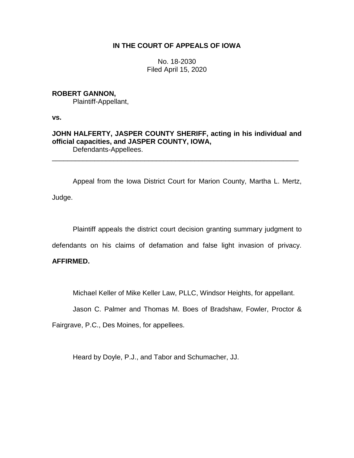# **IN THE COURT OF APPEALS OF IOWA**

No. 18-2030 Filed April 15, 2020

## **ROBERT GANNON,** Plaintiff-Appellant,

**vs.**

**JOHN HALFERTY, JASPER COUNTY SHERIFF, acting in his individual and official capacities, and JASPER COUNTY, IOWA,** Defendants-Appellees.

\_\_\_\_\_\_\_\_\_\_\_\_\_\_\_\_\_\_\_\_\_\_\_\_\_\_\_\_\_\_\_\_\_\_\_\_\_\_\_\_\_\_\_\_\_\_\_\_\_\_\_\_\_\_\_\_\_\_\_\_\_\_\_\_

Appeal from the Iowa District Court for Marion County, Martha L. Mertz, Judge.

Plaintiff appeals the district court decision granting summary judgment to

defendants on his claims of defamation and false light invasion of privacy.

# **AFFIRMED.**

Michael Keller of Mike Keller Law, PLLC, Windsor Heights, for appellant.

Jason C. Palmer and Thomas M. Boes of Bradshaw, Fowler, Proctor &

Fairgrave, P.C., Des Moines, for appellees.

Heard by Doyle, P.J., and Tabor and Schumacher, JJ.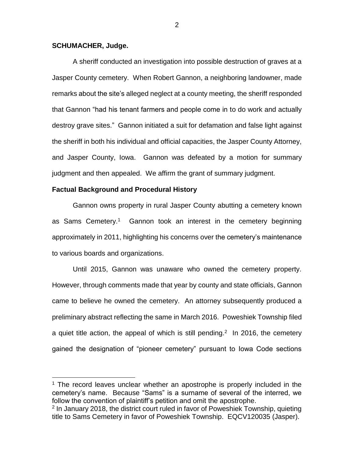## **SCHUMACHER, Judge.**

 $\overline{a}$ 

A sheriff conducted an investigation into possible destruction of graves at a Jasper County cemetery. When Robert Gannon, a neighboring landowner, made remarks about the site's alleged neglect at a county meeting, the sheriff responded that Gannon "had his tenant farmers and people come in to do work and actually destroy grave sites." Gannon initiated a suit for defamation and false light against the sheriff in both his individual and official capacities, the Jasper County Attorney, and Jasper County, Iowa. Gannon was defeated by a motion for summary judgment and then appealed. We affirm the grant of summary judgment.

## **Factual Background and Procedural History**

Gannon owns property in rural Jasper County abutting a cemetery known as Sams Cemetery.<sup>1</sup> Gannon took an interest in the cemetery beginning approximately in 2011, highlighting his concerns over the cemetery's maintenance to various boards and organizations.

Until 2015, Gannon was unaware who owned the cemetery property. However, through comments made that year by county and state officials, Gannon came to believe he owned the cemetery. An attorney subsequently produced a preliminary abstract reflecting the same in March 2016. Poweshiek Township filed a quiet title action, the appeal of which is still pending.<sup>2</sup> In 2016, the cemetery gained the designation of "pioneer cemetery" pursuant to Iowa Code sections

<sup>&</sup>lt;sup>1</sup> The record leaves unclear whether an apostrophe is properly included in the cemetery's name. Because "Sams" is a surname of several of the interred, we follow the convention of plaintiff's petition and omit the apostrophe.

<sup>&</sup>lt;sup>2</sup> In January 2018, the district court ruled in favor of Poweshiek Township, quieting title to Sams Cemetery in favor of Poweshiek Township. EQCV120035 (Jasper).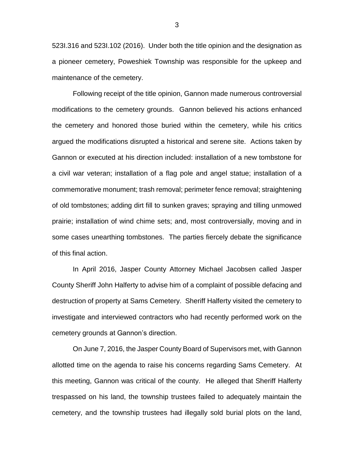523I.316 and 523I.102 (2016). Under both the title opinion and the designation as a pioneer cemetery, Poweshiek Township was responsible for the upkeep and maintenance of the cemetery.

Following receipt of the title opinion, Gannon made numerous controversial modifications to the cemetery grounds. Gannon believed his actions enhanced the cemetery and honored those buried within the cemetery, while his critics argued the modifications disrupted a historical and serene site. Actions taken by Gannon or executed at his direction included: installation of a new tombstone for a civil war veteran; installation of a flag pole and angel statue; installation of a commemorative monument; trash removal; perimeter fence removal; straightening of old tombstones; adding dirt fill to sunken graves; spraying and tilling unmowed prairie; installation of wind chime sets; and, most controversially, moving and in some cases unearthing tombstones. The parties fiercely debate the significance of this final action.

In April 2016, Jasper County Attorney Michael Jacobsen called Jasper County Sheriff John Halferty to advise him of a complaint of possible defacing and destruction of property at Sams Cemetery. Sheriff Halferty visited the cemetery to investigate and interviewed contractors who had recently performed work on the cemetery grounds at Gannon's direction.

On June 7, 2016, the Jasper County Board of Supervisors met, with Gannon allotted time on the agenda to raise his concerns regarding Sams Cemetery. At this meeting, Gannon was critical of the county. He alleged that Sheriff Halferty trespassed on his land, the township trustees failed to adequately maintain the cemetery, and the township trustees had illegally sold burial plots on the land,

3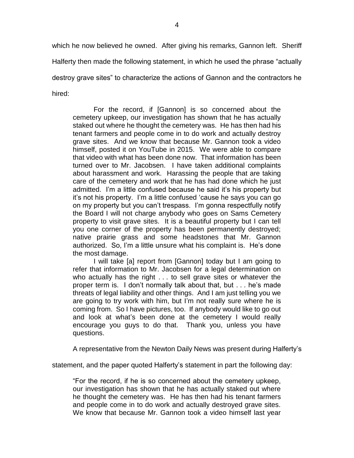which he now believed he owned. After giving his remarks, Gannon left. Sheriff Halferty then made the following statement, in which he used the phrase "actually destroy grave sites" to characterize the actions of Gannon and the contractors he hired:

For the record, if [Gannon] is so concerned about the cemetery upkeep, our investigation has shown that he has actually staked out where he thought the cemetery was. He has then had his tenant farmers and people come in to do work and actually destroy grave sites. And we know that because Mr. Gannon took a video himself, posted it on YouTube in 2015. We were able to compare that video with what has been done now. That information has been turned over to Mr. Jacobsen. I have taken additional complaints about harassment and work. Harassing the people that are taking care of the cemetery and work that he has had done which he just admitted. I'm a little confused because he said it's his property but it's not his property. I'm a little confused 'cause he says you can go on my property but you can't trespass. I'm gonna respectfully notify the Board I will not charge anybody who goes on Sams Cemetery property to visit grave sites. It is a beautiful property but I can tell you one corner of the property has been permanently destroyed; native prairie grass and some headstones that Mr. Gannon authorized. So, I'm a little unsure what his complaint is. He's done the most damage.

I will take [a] report from [Gannon] today but I am going to refer that information to Mr. Jacobsen for a legal determination on who actually has the right . . . to sell grave sites or whatever the proper term is. I don't normally talk about that, but . . . he's made threats of legal liability and other things. And I am just telling you we are going to try work with him, but I'm not really sure where he is coming from. So I have pictures, too. If anybody would like to go out and look at what's been done at the cemetery I would really encourage you guys to do that. Thank you, unless you have questions.

A representative from the Newton Daily News was present during Halferty's

statement, and the paper quoted Halferty's statement in part the following day:

"For the record, if he is so concerned about the cemetery upkeep, our investigation has shown that he has actually staked out where he thought the cemetery was. He has then had his tenant farmers and people come in to do work and actually destroyed grave sites. We know that because Mr. Gannon took a video himself last year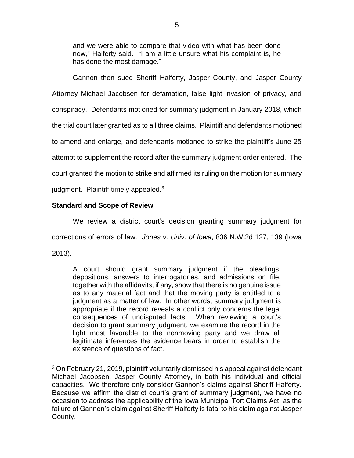and we were able to compare that video with what has been done now," Halferty said. "I am a little unsure what his complaint is, he has done the most damage."

Gannon then sued Sheriff Halferty, Jasper County, and Jasper County Attorney Michael Jacobsen for defamation, false light invasion of privacy, and conspiracy. Defendants motioned for summary judgment in January 2018, which the trial court later granted as to all three claims. Plaintiff and defendants motioned to amend and enlarge, and defendants motioned to strike the plaintiff's June 25 attempt to supplement the record after the summary judgment order entered. The court granted the motion to strike and affirmed its ruling on the motion for summary judgment. Plaintiff timely appealed.<sup>3</sup>

# **Standard and Scope of Review**

 $\overline{a}$ 

We review a district court's decision granting summary judgment for corrections of errors of law. *Jones v. Univ. of Iowa*, 836 N.W.2d 127, 139 (Iowa 2013).

A court should grant summary judgment if the pleadings, depositions, answers to interrogatories, and admissions on file, together with the affidavits, if any, show that there is no genuine issue as to any material fact and that the moving party is entitled to a judgment as a matter of law. In other words, summary judgment is appropriate if the record reveals a conflict only concerns the legal consequences of undisputed facts. When reviewing a court's decision to grant summary judgment, we examine the record in the light most favorable to the nonmoving party and we draw all legitimate inferences the evidence bears in order to establish the existence of questions of fact.

 $3$  On February 21, 2019, plaintiff voluntarily dismissed his appeal against defendant Michael Jacobsen, Jasper County Attorney, in both his individual and official capacities. We therefore only consider Gannon's claims against Sheriff Halferty. Because we affirm the district court's grant of summary judgment, we have no occasion to address the applicability of the Iowa Municipal Tort Claims Act, as the failure of Gannon's claim against Sheriff Halferty is fatal to his claim against Jasper County.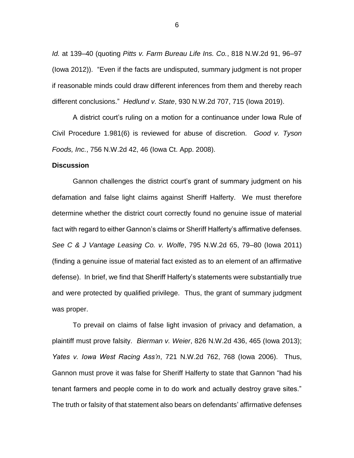*Id.* at 139–40 (quoting *Pitts v. Farm Bureau Life Ins. Co.*, 818 N.W.2d 91, 96–97 (Iowa 2012)). "Even if the facts are undisputed, summary judgment is not proper if reasonable minds could draw different inferences from them and thereby reach different conclusions." *Hedlund v. State*, 930 N.W.2d 707, 715 (Iowa 2019).

A district court's ruling on a motion for a continuance under Iowa Rule of Civil Procedure 1.981(6) is reviewed for abuse of discretion. *Good v. Tyson Foods, Inc.*, 756 N.W.2d 42, 46 (Iowa Ct. App. 2008).

## **Discussion**

Gannon challenges the district court's grant of summary judgment on his defamation and false light claims against Sheriff Halferty. We must therefore determine whether the district court correctly found no genuine issue of material fact with regard to either Gannon's claims or Sheriff Halferty's affirmative defenses. *See C & J Vantage Leasing Co. v. Wolfe*, 795 N.W.2d 65, 79–80 (Iowa 2011) (finding a genuine issue of material fact existed as to an element of an affirmative defense). In brief, we find that Sheriff Halferty's statements were substantially true and were protected by qualified privilege. Thus, the grant of summary judgment was proper.

To prevail on claims of false light invasion of privacy and defamation, a plaintiff must prove falsity. *Bierman v. Weier*, 826 N.W.2d 436, 465 (Iowa 2013); *Yates v. Iowa West Racing Ass'n*, 721 N.W.2d 762, 768 (Iowa 2006). Thus, Gannon must prove it was false for Sheriff Halferty to state that Gannon "had his tenant farmers and people come in to do work and actually destroy grave sites." The truth or falsity of that statement also bears on defendants' affirmative defenses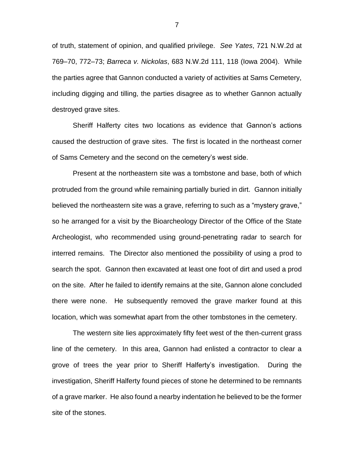of truth, statement of opinion, and qualified privilege. *See Yates*, 721 N.W.2d at 769–70, 772–73; *Barreca v. Nickolas*, 683 N.W.2d 111, 118 (Iowa 2004). While the parties agree that Gannon conducted a variety of activities at Sams Cemetery, including digging and tilling, the parties disagree as to whether Gannon actually destroyed grave sites.

Sheriff Halferty cites two locations as evidence that Gannon's actions caused the destruction of grave sites. The first is located in the northeast corner of Sams Cemetery and the second on the cemetery's west side.

Present at the northeastern site was a tombstone and base, both of which protruded from the ground while remaining partially buried in dirt. Gannon initially believed the northeastern site was a grave, referring to such as a "mystery grave," so he arranged for a visit by the Bioarcheology Director of the Office of the State Archeologist, who recommended using ground-penetrating radar to search for interred remains. The Director also mentioned the possibility of using a prod to search the spot. Gannon then excavated at least one foot of dirt and used a prod on the site. After he failed to identify remains at the site, Gannon alone concluded there were none. He subsequently removed the grave marker found at this location, which was somewhat apart from the other tombstones in the cemetery.

The western site lies approximately fifty feet west of the then-current grass line of the cemetery. In this area, Gannon had enlisted a contractor to clear a grove of trees the year prior to Sheriff Halferty's investigation. During the investigation, Sheriff Halferty found pieces of stone he determined to be remnants of a grave marker. He also found a nearby indentation he believed to be the former site of the stones.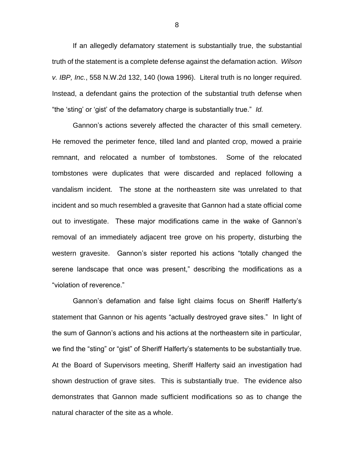If an allegedly defamatory statement is substantially true, the substantial truth of the statement is a complete defense against the defamation action. *Wilson v. IBP, Inc.*, 558 N.W.2d 132, 140 (Iowa 1996). Literal truth is no longer required. Instead, a defendant gains the protection of the substantial truth defense when "the 'sting' or 'gist' of the defamatory charge is substantially true." *Id.* 

Gannon's actions severely affected the character of this small cemetery. He removed the perimeter fence, tilled land and planted crop, mowed a prairie remnant, and relocated a number of tombstones. Some of the relocated tombstones were duplicates that were discarded and replaced following a vandalism incident. The stone at the northeastern site was unrelated to that incident and so much resembled a gravesite that Gannon had a state official come out to investigate. These major modifications came in the wake of Gannon's removal of an immediately adjacent tree grove on his property, disturbing the western gravesite. Gannon's sister reported his actions "totally changed the serene landscape that once was present," describing the modifications as a "violation of reverence."

Gannon's defamation and false light claims focus on Sheriff Halferty's statement that Gannon or his agents "actually destroyed grave sites." In light of the sum of Gannon's actions and his actions at the northeastern site in particular, we find the "sting" or "gist" of Sheriff Halferty's statements to be substantially true. At the Board of Supervisors meeting, Sheriff Halferty said an investigation had shown destruction of grave sites. This is substantially true. The evidence also demonstrates that Gannon made sufficient modifications so as to change the natural character of the site as a whole.

8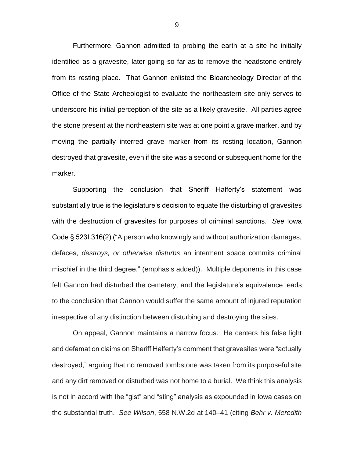Furthermore, Gannon admitted to probing the earth at a site he initially identified as a gravesite, later going so far as to remove the headstone entirely from its resting place. That Gannon enlisted the Bioarcheology Director of the Office of the State Archeologist to evaluate the northeastern site only serves to underscore his initial perception of the site as a likely gravesite. All parties agree the stone present at the northeastern site was at one point a grave marker, and by moving the partially interred grave marker from its resting location, Gannon destroyed that gravesite, even if the site was a second or subsequent home for the marker.

Supporting the conclusion that Sheriff Halferty's statement was substantially true is the legislature's decision to equate the disturbing of gravesites with the destruction of gravesites for purposes of criminal sanctions. *See* Iowa Code § 523I.316(2) ("A person who knowingly and without authorization damages, defaces, *destroys, or otherwise disturbs* an interment space commits criminal mischief in the third degree." (emphasis added)). Multiple deponents in this case felt Gannon had disturbed the cemetery, and the legislature's equivalence leads to the conclusion that Gannon would suffer the same amount of injured reputation irrespective of any distinction between disturbing and destroying the sites.

On appeal, Gannon maintains a narrow focus. He centers his false light and defamation claims on Sheriff Halferty's comment that gravesites were "actually destroyed," arguing that no removed tombstone was taken from its purposeful site and any dirt removed or disturbed was not home to a burial. We think this analysis is not in accord with the "gist" and "sting" analysis as expounded in Iowa cases on the substantial truth. *See Wilson*, 558 N.W.2d at 140–41 (citing *Behr v. Meredith*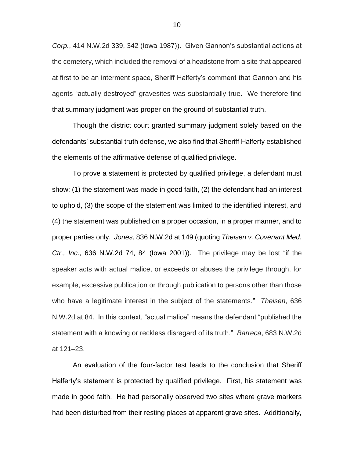*Corp.*, 414 N.W.2d 339, 342 (Iowa 1987)). Given Gannon's substantial actions at the cemetery, which included the removal of a headstone from a site that appeared at first to be an interment space, Sheriff Halferty's comment that Gannon and his agents "actually destroyed" gravesites was substantially true. We therefore find that summary judgment was proper on the ground of substantial truth.

Though the district court granted summary judgment solely based on the defendants' substantial truth defense, we also find that Sheriff Halferty established the elements of the affirmative defense of qualified privilege.

To prove a statement is protected by qualified privilege, a defendant must show: (1) the statement was made in good faith, (2) the defendant had an interest to uphold, (3) the scope of the statement was limited to the identified interest, and (4) the statement was published on a proper occasion, in a proper manner, and to proper parties only. *Jones*, 836 N.W.2d at 149 (quoting *Theisen v. Covenant Med. Ctr., Inc.*, 636 N.W.2d 74, 84 (Iowa 2001)). The privilege may be lost "if the speaker acts with actual malice, or exceeds or abuses the privilege through, for example, excessive publication or through publication to persons other than those who have a legitimate interest in the subject of the statements." *Theisen*, 636 N.W.2d at 84. In this context, "actual malice" means the defendant "published the statement with a knowing or reckless disregard of its truth." *Barreca*, 683 N.W.2d at 121–23.

An evaluation of the four-factor test leads to the conclusion that Sheriff Halferty's statement is protected by qualified privilege. First, his statement was made in good faith. He had personally observed two sites where grave markers had been disturbed from their resting places at apparent grave sites. Additionally,

10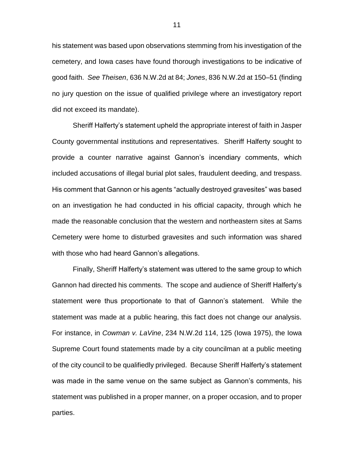his statement was based upon observations stemming from his investigation of the cemetery, and Iowa cases have found thorough investigations to be indicative of good faith. *See Theisen*, 636 N.W.2d at 84; *Jones*, 836 N.W.2d at 150–51 (finding no jury question on the issue of qualified privilege where an investigatory report did not exceed its mandate).

Sheriff Halferty's statement upheld the appropriate interest of faith in Jasper County governmental institutions and representatives. Sheriff Halferty sought to provide a counter narrative against Gannon's incendiary comments, which included accusations of illegal burial plot sales, fraudulent deeding, and trespass. His comment that Gannon or his agents "actually destroyed gravesites" was based on an investigation he had conducted in his official capacity, through which he made the reasonable conclusion that the western and northeastern sites at Sams Cemetery were home to disturbed gravesites and such information was shared with those who had heard Gannon's allegations.

Finally, Sheriff Halferty's statement was uttered to the same group to which Gannon had directed his comments. The scope and audience of Sheriff Halferty's statement were thus proportionate to that of Gannon's statement. While the statement was made at a public hearing, this fact does not change our analysis. For instance, in *Cowman v. LaVine*, 234 N.W.2d 114, 125 (Iowa 1975), the Iowa Supreme Court found statements made by a city councilman at a public meeting of the city council to be qualifiedly privileged. Because Sheriff Halferty's statement was made in the same venue on the same subject as Gannon's comments, his statement was published in a proper manner, on a proper occasion, and to proper parties.